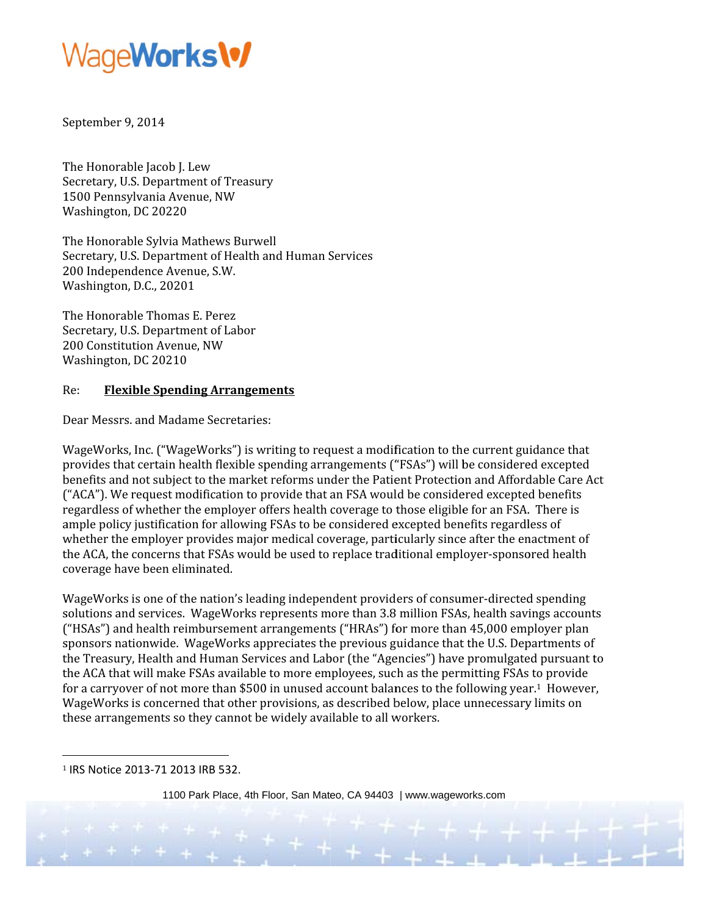

September 9, 2014

The Honorable Jacob J. Lew Secretary, U.S. Department of Treasury 1500 Pennsylvania Avenue, NW Washington, DC 20220

The Honorable Sylvia Mathews Burwell Secretary, U.S. Department of Health and Human Services 200 Independence Avenue, S.W. Washington, D.C., 20201

The Honorable Thomas E. Perez Secretary, U.S. Department of Labor 200 Constitution Avenue, NW Washington, DC 20210

#### **Flexible Spending Arrangements**  $Re:$

Dear Messrs. and Madame Secretaries:

WageWorks, Inc. ("WageWorks") is writing to request a modification to the current guidance that provides that certain health flexible spending arrangements ("FSAs") will be considered excepted benefits and not subject to the market reforms under the Patient Protection and Affordable Care Act ("ACA"). We request modification to provide that an FSA would be considered excepted benefits regardless of whether the employer offers health coverage to those eligible for an FSA. There is ample policy justification for allowing FSAs to be considered excepted benefits regardless of whether the employer provides major medical coverage, particularly since after the enactment of the ACA, the concerns that FSAs would be used to replace traditional employer-sponsored health coverage have been eliminated.

WageWorks is one of the nation's leading independent providers of consumer-directed spending solutions and services. WageWorks represents more than 3.8 million FSAs, health savings accounts ("HSAs") and health reimbursement arrangements ("HRAs") for more than 45,000 employer plan sponsors nationwide. WageWorks appreciates the previous guidance that the U.S. Departments of the Treasury, Health and Human Services and Labor (the "Agencies") have promulgated pursuant to the ACA that will make FSAs available to more employees, such as the permitting FSAs to provide for a carryover of not more than \$500 in unused account balances to the following year.<sup>1</sup> However, WageWorks is concerned that other provisions, as described below, place unnecessary limits on these arrangements so they cannot be widely available to all workers.

<sup>1</sup> IRS Notice 2013-71 2013 IRB 532.

1100 Park Place, 4th Floor, San Mateo, CA 94403 | www.wageworks.com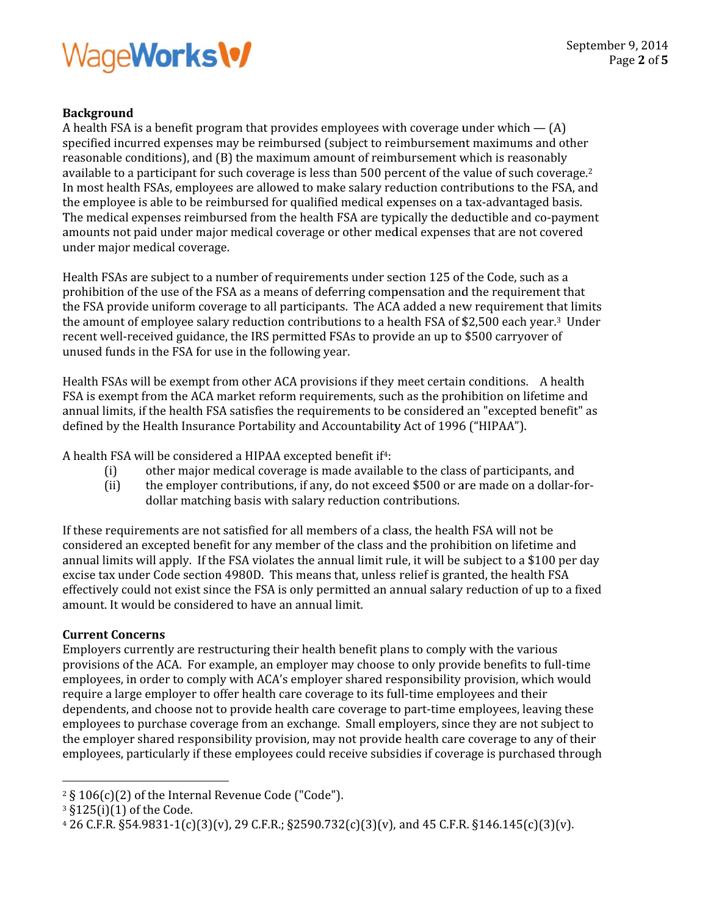### WageWorks\%

### **Background**

A health FSA is a benefit program that provides employees with coverage under which  $-$  (A) specified incurred expenses may be reimbursed (subject to reimbursement maximums and other reasonable conditions), and (B) the maximum amount of reimbursement which is reasonably available to a participant for such coverage is less than 500 percent of the value of such coverage.<sup>2</sup> In most health FSAs, employees are allowed to make salary reduction contributions to the FSA, and the employee is able to be reimbursed for qualified medical expenses on a tax-advantaged basis. The medical expenses reimbursed from the health FSA are typically the deductible and co-payment amounts not paid under major medical coverage or other medical expenses that are not covered under major medical coverage.

Health FSAs are subject to a number of requirements under section 125 of the Code, such as a prohibition of the use of the FSA as a means of deferring compensation and the requirement that the FSA provide uniform coverage to all participants. The ACA added a new requirement that limits the amount of employee salary reduction contributions to a health FSA of \$2,500 each year.<sup>3</sup> Under recent well-received guidance, the IRS permitted FSAs to provide an up to \$500 carryover of unused funds in the FSA for use in the following year.

Health FSAs will be exempt from other ACA provisions if they meet certain conditions. A health FSA is exempt from the ACA market reform requirements, such as the prohibition on lifetime and annual limits, if the health FSA satisfies the requirements to be considered an "excepted benefit" as defined by the Health Insurance Portability and Accountability Act of 1996 ("HIPAA").

A health FSA will be considered a HIPAA excepted benefit if<sup>4</sup>:

- other major medical coverage is made available to the class of participants, and  $(i)$
- $(ii)$ the employer contributions, if any, do not exceed \$500 or are made on a dollar-fordollar matching basis with salary reduction contributions.

If these requirements are not satisfied for all members of a class, the health FSA will not be considered an excepted benefit for any member of the class and the prohibition on lifetime and annual limits will apply. If the FSA violates the annual limit rule, it will be subject to a \$100 per day excise tax under Code section 4980D. This means that, unless relief is granted, the health FSA effectively could not exist since the FSA is only permitted an annual salary reduction of up to a fixed amount. It would be considered to have an annual limit.

### **Current Concerns**

Employers currently are restructuring their health benefit plans to comply with the various provisions of the ACA. For example, an employer may choose to only provide benefits to full-time employees, in order to comply with ACA's employer shared responsibility provision, which would require a large employer to offer health care coverage to its full-time employees and their dependents, and choose not to provide health care coverage to part-time employees, leaving these employees to purchase coverage from an exchange. Small employers, since they are not subject to the employer shared responsibility provision, may not provide health care coverage to any of their employees, particularly if these employees could receive subsidies if coverage is purchased through

<sup>&</sup>lt;sup>2</sup> § 106(c)(2) of the Internal Revenue Code ("Code").

<sup>&</sup>lt;sup>3</sup> §125(i)(1) of the Code.

 $426$  C.F.R. §54.9831-1(c)(3)(v), 29 C.F.R.; §2590.732(c)(3)(v), and 45 C.F.R. §146.145(c)(3)(v).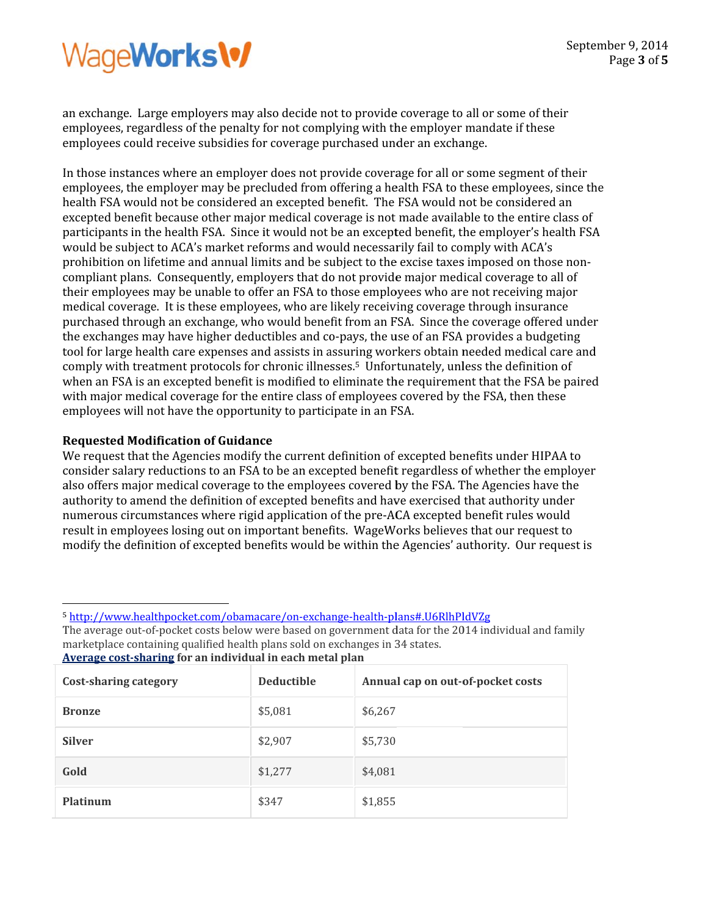# WageWorks\%

an exchange. Large employers may also decide not to provide coverage to all or some of their employees, regardless of the penalty for not complying with the employer mandate if these employees could receive subsidies for coverage purchased under an exchange.

In those instances where an employer does not provide coverage for all or some segment of their employees, the employer may be precluded from offering a health FSA to these employees, since the health FSA would not be considered an excepted benefit. The FSA would not be considered an excepted benefit because other major medical coverage is not made available to the entire class of participants in the health FSA. Since it would not be an excepted benefit, the employer's health FSA would be subject to ACA's market reforms and would necessarily fail to comply with ACA's prohibition on lifetime and annual limits and be subject to the excise taxes imposed on those noncompliant plans. Consequently, employers that do not provide major medical coverage to all of their employees may be unable to offer an FSA to those employees who are not receiving major medical coverage. It is these employees, who are likely receiving coverage through insurance purchased through an exchange, who would benefit from an FSA. Since the coverage offered under the exchanges may have higher deductibles and co-pays, the use of an FSA provides a budgeting tool for large health care expenses and assists in assuring workers obtain needed medical care and comply with treatment protocols for chronic illnesses.<sup>5</sup> Unfortunately, unless the definition of when an FSA is an excepted benefit is modified to eliminate the requirement that the FSA be paired with major medical coverage for the entire class of employees covered by the FSA, then these employees will not have the opportunity to participate in an FSA.

### **Requested Modification of Guidance**

We request that the Agencies modify the current definition of excepted benefits under HIPAA to consider salary reductions to an FSA to be an excepted benefit regardless of whether the employer also offers major medical coverage to the employees covered by the FSA. The Agencies have the authority to amend the definition of excepted benefits and have exercised that authority under numerous circumstances where rigid application of the pre-ACA excepted benefit rules would result in employees losing out on important benefits. WageWorks believes that our request to modify the definition of excepted benefits would be within the Agencies' authority. Our request is

<sup>5</sup> http://www.healthpocket.com/obamacare/on-exchange-health-plans#.U6RlhPldVZg

The average out-of-pocket costs below were based on government data for the 2014 individual and family marketplace containing qualified health plans sold on exchanges in 34 states. Average cost-sharing for an individual in each metal plan

| Cost-sharing category | <b>Deductible</b> | Annual cap on out-of-pocket costs |
|-----------------------|-------------------|-----------------------------------|
| <b>Bronze</b>         | \$5,081           | \$6,267                           |
| <b>Silver</b>         | \$2,907           | \$5,730                           |
| Gold                  | \$1,277           | \$4,081                           |
| Platinum              | \$347             | \$1,855                           |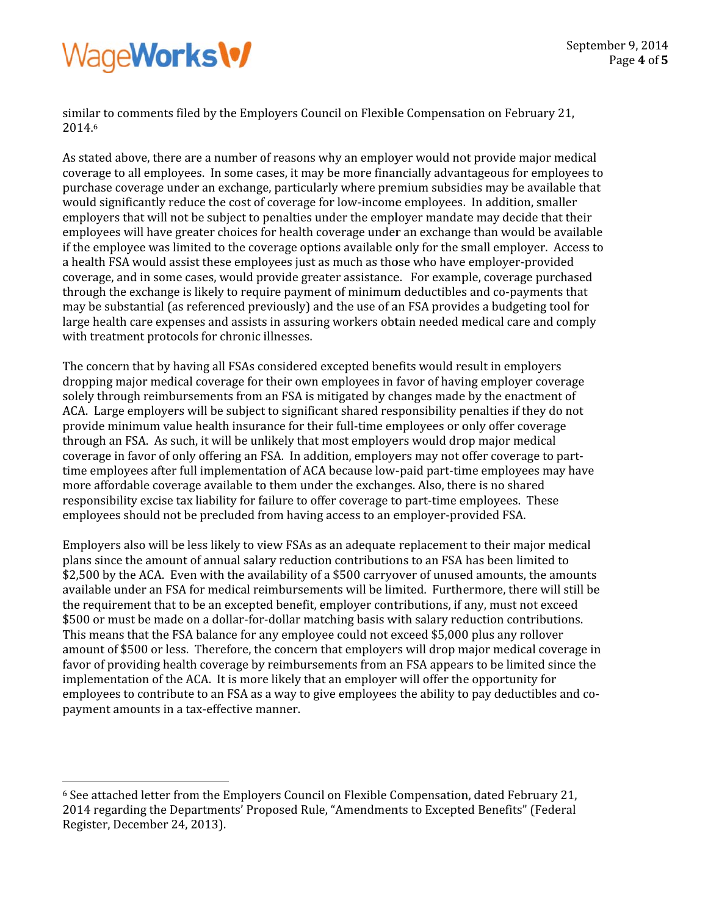## WageWorks\%

similar to comments filed by the Employers Council on Flexible Compensation on February 21, 2014.6

As stated above, there are a number of reasons why an employer would not provide major medical coverage to all employees. In some cases, it may be more financially advantageous for employees to purchase coverage under an exchange, particularly where premium subsidies may be available that would significantly reduce the cost of coverage for low-income employees. In addition, smaller employers that will not be subject to penalties under the employer mandate may decide that their employees will have greater choices for health coverage under an exchange than would be available if the employee was limited to the coverage options available only for the small employer. Access to a health FSA would assist these employees just as much as those who have employer-provided coverage, and in some cases, would provide greater assistance. For example, coverage purchased through the exchange is likely to require payment of minimum deductibles and co-payments that may be substantial (as referenced previously) and the use of an FSA provides a budgeting tool for large health care expenses and assists in assuring workers obtain needed medical care and comply with treatment protocols for chronic illnesses.

The concern that by having all FSAs considered excepted benefits would result in employers dropping major medical coverage for their own employees in favor of having employer coverage solely through reimbursements from an FSA is mitigated by changes made by the enactment of ACA. Large employers will be subject to significant shared responsibility penalties if they do not provide minimum value health insurance for their full-time employees or only offer coverage through an FSA. As such, it will be unlikely that most employers would drop major medical coverage in favor of only offering an FSA. In addition, employers may not offer coverage to parttime employees after full implementation of ACA because low-paid part-time employees may have more affordable coverage available to them under the exchanges. Also, there is no shared responsibility excise tax liability for failure to offer coverage to part-time employees. These employees should not be precluded from having access to an employer-provided FSA.

Employers also will be less likely to view FSAs as an adequate replacement to their major medical plans since the amount of annual salary reduction contributions to an FSA has been limited to \$2,500 by the ACA. Even with the availability of a \$500 carryover of unused amounts, the amounts available under an FSA for medical reimbursements will be limited. Furthermore, there will still be the requirement that to be an excepted benefit, employer contributions, if any, must not exceed \$500 or must be made on a dollar-for-dollar matching basis with salary reduction contributions. This means that the FSA balance for any employee could not exceed \$5,000 plus any rollover amount of \$500 or less. Therefore, the concern that employers will drop major medical coverage in favor of providing health coverage by reimbursements from an FSA appears to be limited since the implementation of the ACA. It is more likely that an employer will offer the opportunity for employees to contribute to an FSA as a way to give employees the ability to pay deductibles and copayment amounts in a tax-effective manner.

<sup>&</sup>lt;sup>6</sup> See attached letter from the Employers Council on Flexible Compensation, dated February 21, 2014 regarding the Departments' Proposed Rule, "Amendments to Excepted Benefits" (Federal Register, December 24, 2013).